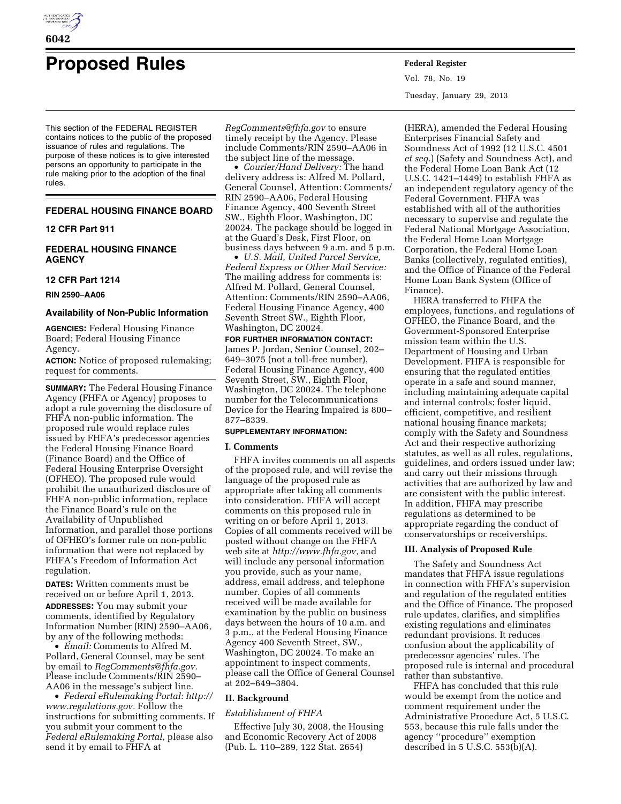

# **Proposed Rules Federal Register**

This section of the FEDERAL REGISTER contains notices to the public of the proposed issuance of rules and regulations. The purpose of these notices is to give interested persons an opportunity to participate in the rule making prior to the adoption of the final rules.

## **FEDERAL HOUSING FINANCE BOARD**

## **12 CFR Part 911**

# **FEDERAL HOUSING FINANCE AGENCY**

#### **12 CFR Part 1214**

**RIN 2590–AA06** 

## **Availability of Non-Public Information**

**AGENCIES:** Federal Housing Finance Board; Federal Housing Finance Agency.

**ACTION:** Notice of proposed rulemaking; request for comments.

**SUMMARY:** The Federal Housing Finance Agency (FHFA or Agency) proposes to adopt a rule governing the disclosure of FHFA non-public information. The proposed rule would replace rules issued by FHFA's predecessor agencies the Federal Housing Finance Board (Finance Board) and the Office of Federal Housing Enterprise Oversight (OFHEO). The proposed rule would prohibit the unauthorized disclosure of FHFA non-public information, replace the Finance Board's rule on the Availability of Unpublished Information, and parallel those portions of OFHEO's former rule on non-public information that were not replaced by FHFA's Freedom of Information Act regulation.

**DATES:** Written comments must be received on or before April 1, 2013. **ADDRESSES:** You may submit your comments, identified by Regulatory Information Number (RIN) 2590–AA06, by any of the following methods:

• *Email:* Comments to Alfred M. Pollard, General Counsel, may be sent by email to *[RegComments@fhfa.gov.](mailto:RegComments@fhfa.gov)*  Please include Comments/RIN 2590– AA06 in the message's subject line.

• *Federal eRulemaking Portal: [http://](http://www.regulations.gov)  [www.regulations.gov.](http://www.regulations.gov)* Follow the instructions for submitting comments. If you submit your comment to the *Federal eRulemaking Portal,* please also send it by email to FHFA at

*[RegComments@fhfa.gov](mailto:RegComments@fhfa.gov)* to ensure timely receipt by the Agency. Please include Comments/RIN 2590–AA06 in the subject line of the message.

• *Courier/Hand Delivery:* The hand delivery address is: Alfred M. Pollard, General Counsel, Attention: Comments/ RIN 2590–AA06, Federal Housing Finance Agency, 400 Seventh Street SW., Eighth Floor, Washington, DC 20024. The package should be logged in at the Guard's Desk, First Floor, on business days between 9 a.m. and 5 p.m.

• *U.S. Mail, United Parcel Service, Federal Express or Other Mail Service:*  The mailing address for comments is: Alfred M. Pollard, General Counsel, Attention: Comments/RIN 2590–AA06, Federal Housing Finance Agency, 400 Seventh Street SW., Eighth Floor, Washington, DC 20024.

#### **FOR FURTHER INFORMATION CONTACT:**

James P. Jordan, Senior Counsel, 202– 649–3075 (not a toll-free number), Federal Housing Finance Agency, 400 Seventh Street, SW., Eighth Floor, Washington, DC 20024. The telephone number for the Telecommunications Device for the Hearing Impaired is 800– 877–8339.

#### **SUPPLEMENTARY INFORMATION:**

## **I. Comments**

FHFA invites comments on all aspects of the proposed rule, and will revise the language of the proposed rule as appropriate after taking all comments into consideration. FHFA will accept comments on this proposed rule in writing on or before April 1, 2013. Copies of all comments received will be posted without change on the FHFA web site at *[http://www.fhfa.gov,](http://www.fhfa.gov)* and will include any personal information you provide, such as your name, address, email address, and telephone number. Copies of all comments received will be made available for examination by the public on business days between the hours of 10 a.m. and 3 p.m., at the Federal Housing Finance Agency 400 Seventh Street, SW., Washington, DC 20024. To make an appointment to inspect comments, please call the Office of General Counsel at 202–649–3804.

## **II. Background**

## *Establishment of FHFA*

Effective July 30, 2008, the Housing and Economic Recovery Act of 2008 (Pub. L. 110–289, 122 Stat. 2654)

Vol. 78, No. 19 Tuesday, January 29, 2013

(HERA), amended the Federal Housing Enterprises Financial Safety and Soundness Act of 1992 (12 U.S.C. 4501 *et seq.*) (Safety and Soundness Act), and the Federal Home Loan Bank Act (12 U.S.C. 1421–1449) to establish FHFA as an independent regulatory agency of the Federal Government. FHFA was established with all of the authorities necessary to supervise and regulate the Federal National Mortgage Association, the Federal Home Loan Mortgage Corporation, the Federal Home Loan Banks (collectively, regulated entities), and the Office of Finance of the Federal Home Loan Bank System (Office of Finance).

HERA transferred to FHFA the employees, functions, and regulations of OFHEO, the Finance Board, and the Government-Sponsored Enterprise mission team within the U.S. Department of Housing and Urban Development. FHFA is responsible for ensuring that the regulated entities operate in a safe and sound manner, including maintaining adequate capital and internal controls; foster liquid, efficient, competitive, and resilient national housing finance markets; comply with the Safety and Soundness Act and their respective authorizing statutes, as well as all rules, regulations, guidelines, and orders issued under law; and carry out their missions through activities that are authorized by law and are consistent with the public interest. In addition, FHFA may prescribe regulations as determined to be appropriate regarding the conduct of conservatorships or receiverships.

## **III. Analysis of Proposed Rule**

The Safety and Soundness Act mandates that FHFA issue regulations in connection with FHFA's supervision and regulation of the regulated entities and the Office of Finance. The proposed rule updates, clarifies, and simplifies existing regulations and eliminates redundant provisions. It reduces confusion about the applicability of predecessor agencies' rules. The proposed rule is internal and procedural rather than substantive.

FHFA has concluded that this rule would be exempt from the notice and comment requirement under the Administrative Procedure Act, 5 U.S.C. 553, because this rule falls under the agency ''procedure'' exemption described in 5 U.S.C.  $553(\hat{b})(A)$ .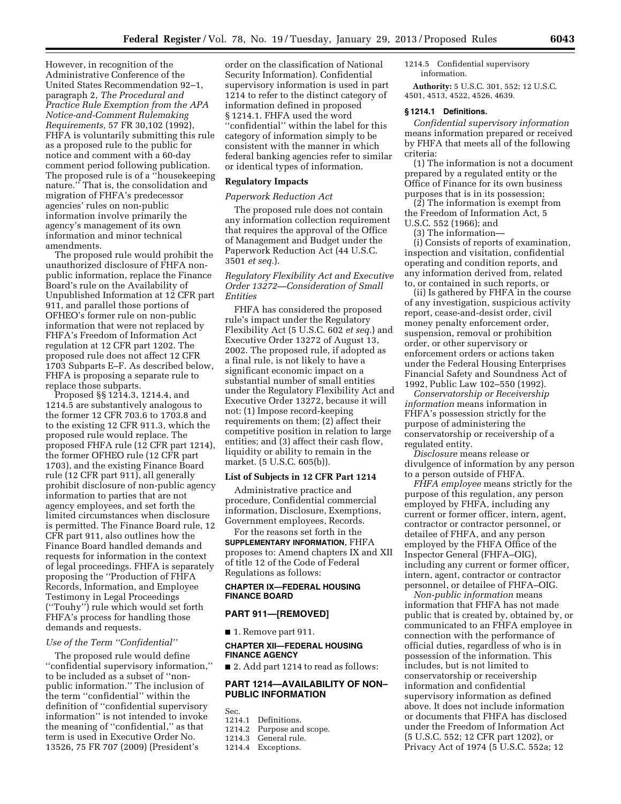However, in recognition of the Administrative Conference of the United States Recommendation 92–1, paragraph 2, *The Procedural and Practice Rule Exemption from the APA Notice-and-Comment Rulemaking Requirements,* 57 FR 30,102 (1992), FHFA is voluntarily submitting this rule as a proposed rule to the public for notice and comment with a 60-day comment period following publication. The proposed rule is of a ''housekeeping nature.'' That is, the consolidation and migration of FHFA's predecessor agencies' rules on non-public information involve primarily the agency's management of its own information and minor technical amendments.

The proposed rule would prohibit the unauthorized disclosure of FHFA nonpublic information, replace the Finance Board's rule on the Availability of Unpublished Information at 12 CFR part 911, and parallel those portions of OFHEO's former rule on non-public information that were not replaced by FHFA's Freedom of Information Act regulation at 12 CFR part 1202. The proposed rule does not affect 12 CFR 1703 Subparts E–F. As described below, FHFA is proposing a separate rule to replace those subparts.

Proposed §§ 1214.3, 1214.4, and 1214.5 are substantively analogous to the former 12 CFR 703.6 to 1703.8 and to the existing 12 CFR 911.3, which the proposed rule would replace. The proposed FHFA rule (12 CFR part 1214), the former OFHEO rule (12 CFR part 1703), and the existing Finance Board rule (12 CFR part 911), all generally prohibit disclosure of non-public agency information to parties that are not agency employees, and set forth the limited circumstances when disclosure is permitted. The Finance Board rule, 12 CFR part 911, also outlines how the Finance Board handled demands and requests for information in the context of legal proceedings. FHFA is separately proposing the ''Production of FHFA Records, Information, and Employee Testimony in Legal Proceedings (''Touhy'') rule which would set forth FHFA's process for handling those demands and requests.

### *Use of the Term ''Confidential''*

The proposed rule would define ''confidential supervisory information,'' to be included as a subset of ''nonpublic information.'' The inclusion of the term ''confidential'' within the definition of ''confidential supervisory information'' is not intended to invoke the meaning of ''confidential,'' as that term is used in Executive Order No. 13526, 75 FR 707 (2009) (President's

order on the classification of National Security Information). Confidential supervisory information is used in part 1214 to refer to the distinct category of information defined in proposed § 1214.1. FHFA used the word ''confidential'' within the label for this category of information simply to be consistent with the manner in which federal banking agencies refer to similar or identical types of information.

## **Regulatory Impacts**

#### *Paperwork Reduction Act*

The proposed rule does not contain any information collection requirement that requires the approval of the Office of Management and Budget under the Paperwork Reduction Act (44 U.S.C. 3501 *et seq.*).

# *Regulatory Flexibility Act and Executive Order 13272—Consideration of Small Entities*

FHFA has considered the proposed rule's impact under the Regulatory Flexibility Act (5 U.S.C. 602 *et seq.*) and Executive Order 13272 of August 13, 2002. The proposed rule, if adopted as a final rule, is not likely to have a significant economic impact on a substantial number of small entities under the Regulatory Flexibility Act and Executive Order 13272, because it will not: (1) Impose record-keeping requirements on them; (2) affect their competitive position in relation to large entities; and (3) affect their cash flow, liquidity or ability to remain in the market. (5 U.S.C. 605(b)).

## **List of Subjects in 12 CFR Part 1214**

Administrative practice and procedure, Confidential commercial information, Disclosure, Exemptions, Government employees, Records.

For the reasons set forth in the **SUPPLEMENTARY INFORMATION**, FHFA proposes to: Amend chapters IX and XII of title 12 of the Code of Federal Regulations as follows:

# **CHAPTER IX—FEDERAL HOUSING FINANCE BOARD**

# **PART 911—[REMOVED]**

■ 1. Remove part 911.

## **CHAPTER XII—FEDERAL HOUSING FINANCE AGENCY**

■ 2. Add part 1214 to read as follows:

# **PART 1214—AVAILABILITY OF NON– PUBLIC INFORMATION**

Sec.

- 1214.1 Definitions.<br>1214.2 Purpose and
- Purpose and scope.
- 1214.3 General rule.
- 1214.4 Exceptions.

## 1214.5 Confidential supervisory information.

**Authority:** 5 U.S.C. 301, 552; 12 U.S.C. 4501, 4513, 4522, 4526, 4639.

## **§ 1214.1 Definitions.**

*Confidential supervisory information*  means information prepared or received by FHFA that meets all of the following criteria:

(1) The information is not a document prepared by a regulated entity or the Office of Finance for its own business purposes that is in its possession;

(2) The information is exempt from the Freedom of Information Act, 5 U.S.C. 552 (1966); and

(3) The information—

(i) Consists of reports of examination, inspection and visitation, confidential operating and condition reports, and any information derived from, related to, or contained in such reports, or

(ii) Is gathered by FHFA in the course of any investigation, suspicious activity report, cease-and-desist order, civil money penalty enforcement order, suspension, removal or prohibition order, or other supervisory or enforcement orders or actions taken under the Federal Housing Enterprises Financial Safety and Soundness Act of 1992, Public Law 102–550 (1992).

*Conservatorship or Receivership information* means information in FHFA's possession strictly for the purpose of administering the conservatorship or receivership of a regulated entity.

*Disclosure* means release or divulgence of information by any person to a person outside of FHFA.

*FHFA employee* means strictly for the purpose of this regulation, any person employed by FHFA, including any current or former officer, intern, agent, contractor or contractor personnel, or detailee of FHFA, and any person employed by the FHFA Office of the Inspector General (FHFA–OIG), including any current or former officer, intern, agent, contractor or contractor personnel, or detailee of FHFA–OIG.

*Non-public information* means information that FHFA has not made public that is created by, obtained by, or communicated to an FHFA employee in connection with the performance of official duties, regardless of who is in possession of the information. This includes, but is not limited to conservatorship or receivership information and confidential supervisory information as defined above. It does not include information or documents that FHFA has disclosed under the Freedom of Information Act (5 U.S.C. 552; 12 CFR part 1202), or Privacy Act of 1974 (5 U.S.C. 552a; 12